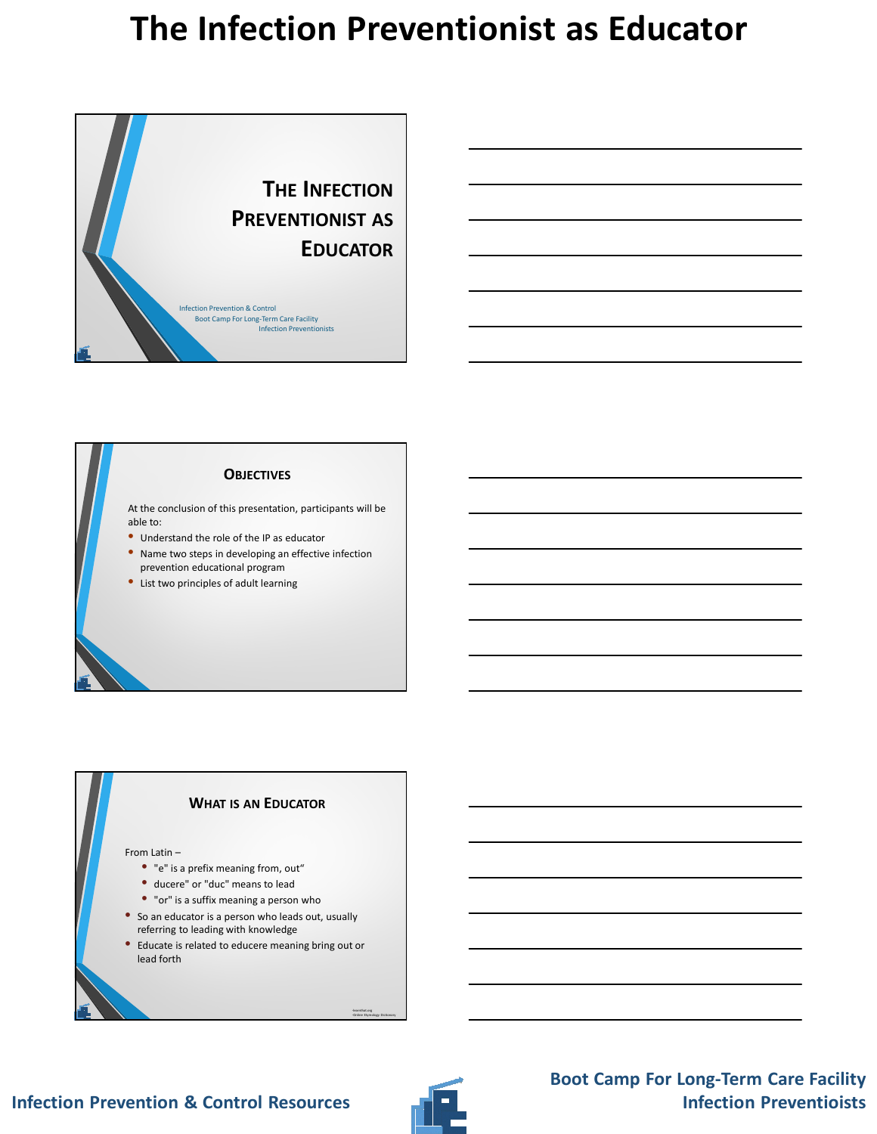

## **OBJECTIVES**

At the conclusion of this presentation, participants will be able to:

- Understand the role of the IP as educator
- Name two steps in developing an effective infection prevention educational program
- List two principles of adult learning

### **WHAT IS AN EDUCATOR**

#### From Latin –

- "e" is a prefix meaning from, out"
- ducere" or "duc" means to lead
- "or" is a suffix meaning a person who
- So an educator is a person who leads out, usually referring to leading with knowledge
- Educate is related to educere meaning bring out or lead forth



-learnthat.org -Online Etymology Dictionary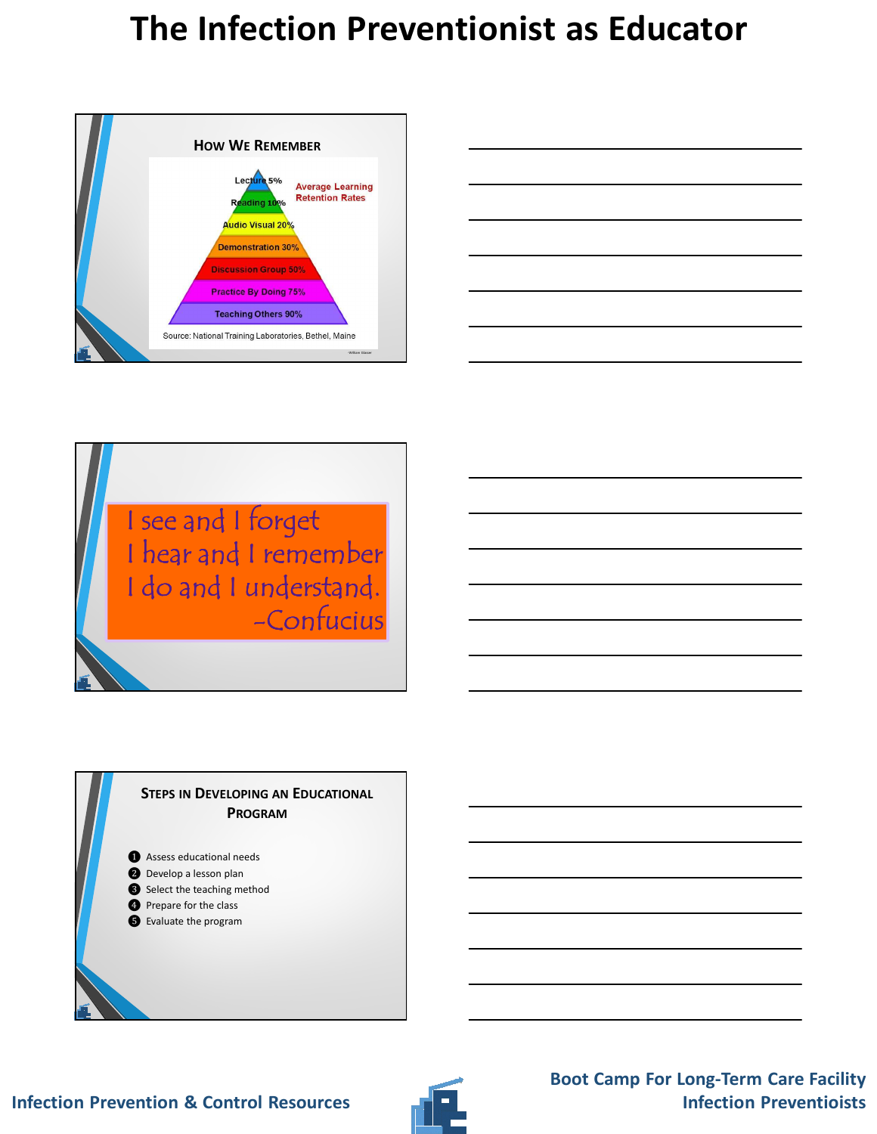



I see and I forget I hear and I remember I do and I understand. -Confucius

### **STEPS IN DEVELOPING AN EDUCATIONAL PROGRAM**

❶ Assess educational needs

- ❷ Develop a lesson plan
- ❸ Select the teaching method
- **O** Prepare for the class
- ❺ Evaluate the program

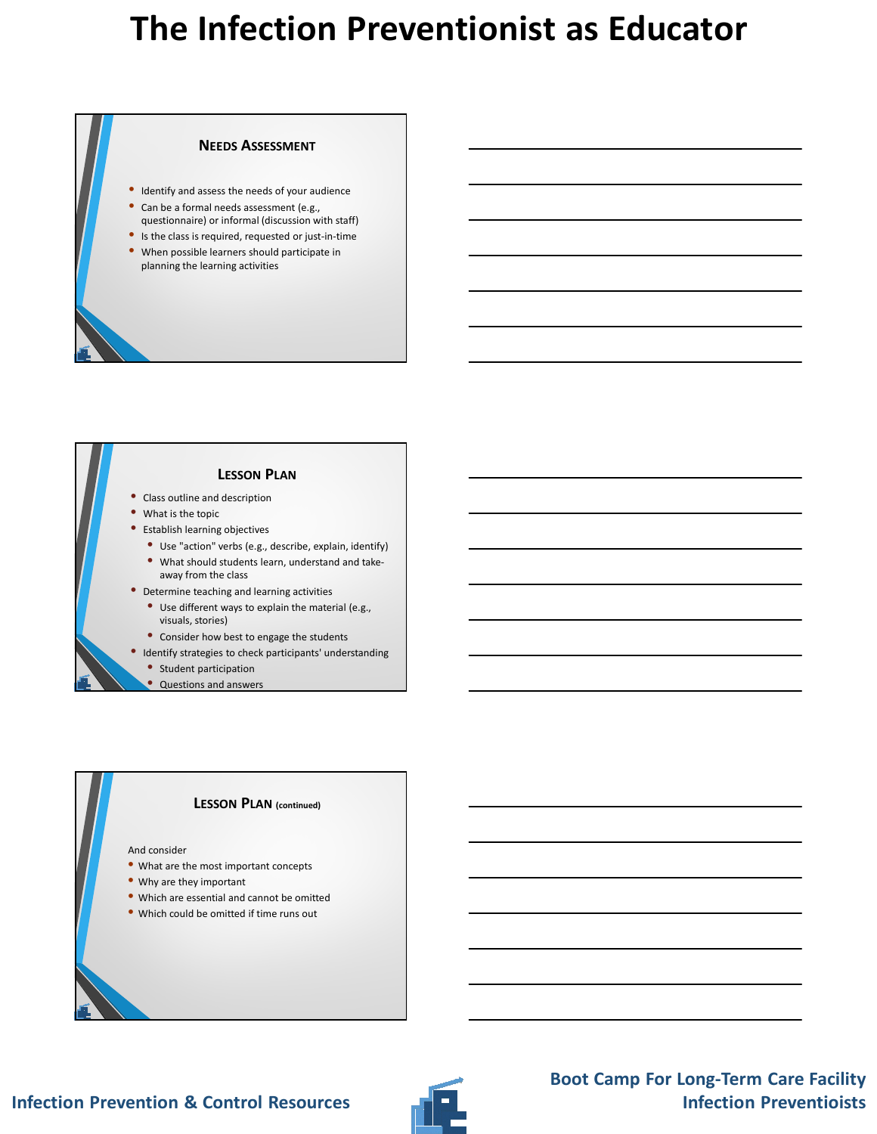#### **NEEDS ASSESSMENT**

- Identify and assess the needs of your audience
- Can be a formal needs assessment (e.g.,
- questionnaire) or informal (discussion with staff)
- Is the class is required, requested or just-in-time
- When possible learners should participate in planning the learning activities

## **LESSON PLAN**

- Class outline and description
- What is the topic
- Establish learning objectives
	- Use "action" verbs (e.g., describe, explain, identify)
	- What should students learn, understand and takeaway from the class
- Determine teaching and learning activities
	- Use different ways to explain the material (e.g., visuals, stories)
- Consider how best to engage the students
- Identify strategies to check participants' understanding
	- Student participation
	- Questions and answers

#### **LESSON PLAN (continued)**

#### And consider

- What are the most important concepts
- Why are they important
- Which are essential and cannot be omitted
- Which could be omitted if time runs out

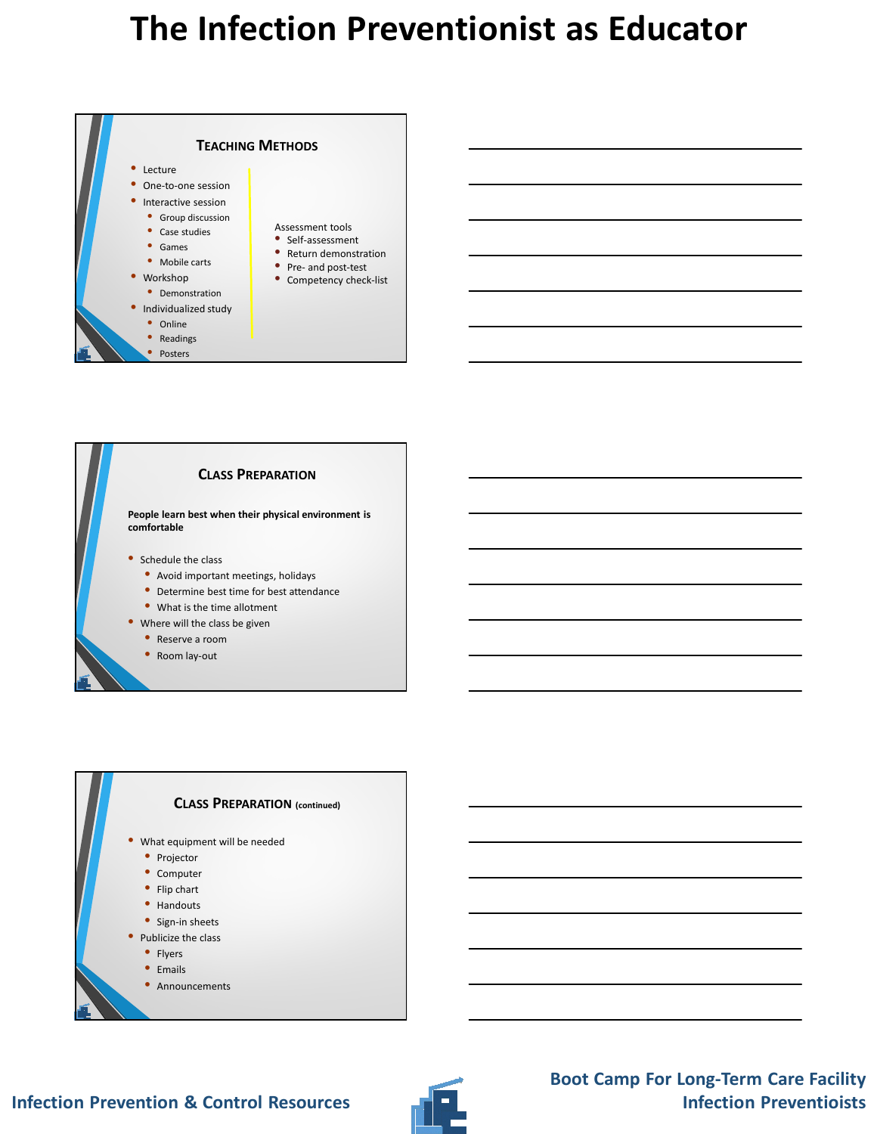





### **Infection Prevention & Control Resources**

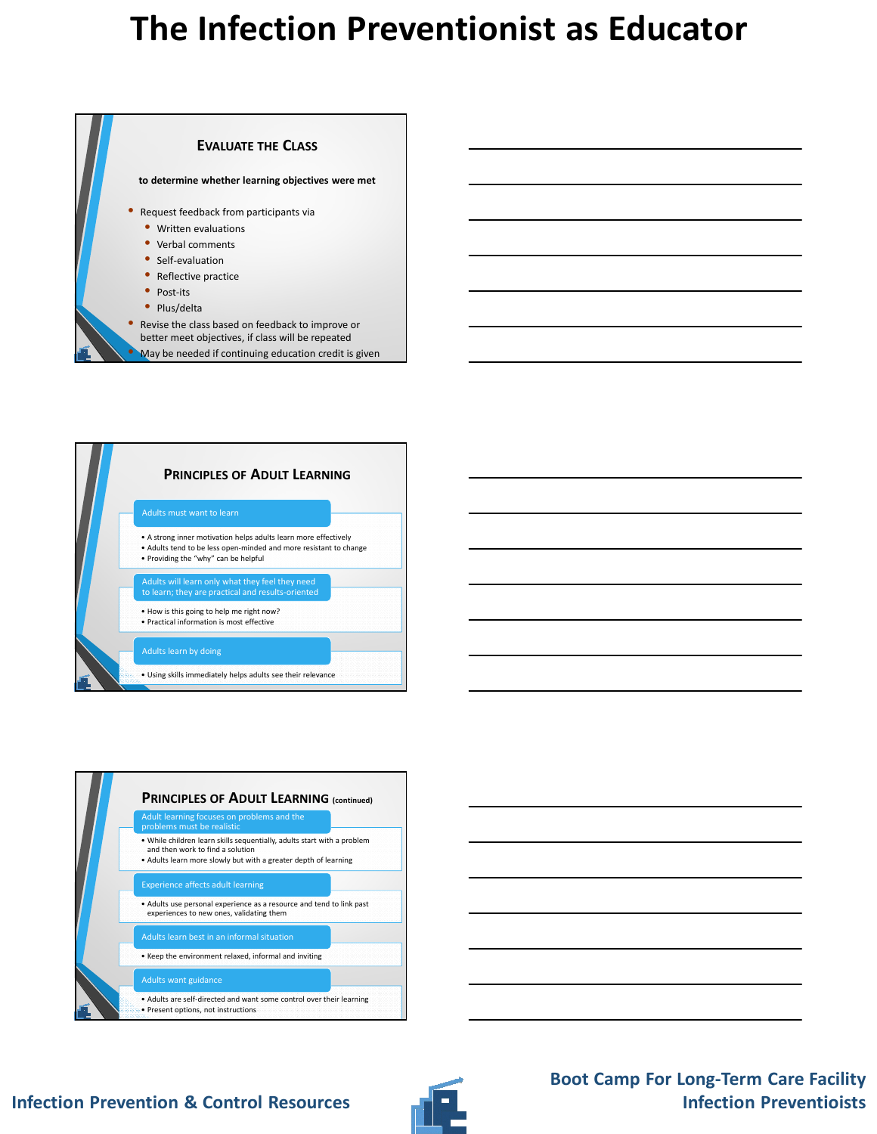